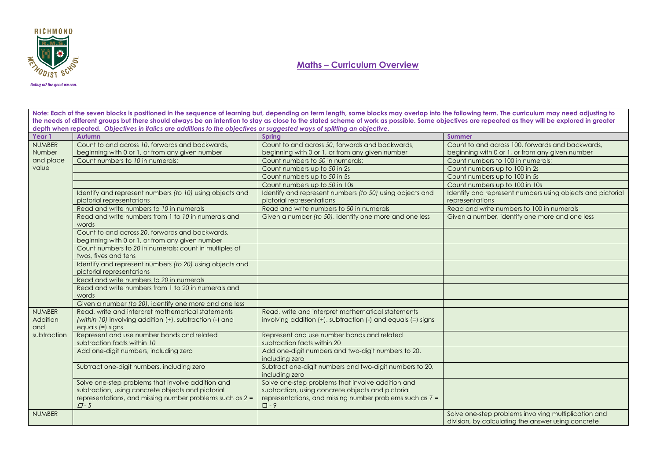

#### Doing all the good we can

Note: Each of the seven blocks is positioned in the sequence of learning but, depending on term length, some blocks may overlap into the following term. The curriculum may need adjusting to **the needs of different groups but there should always be an intention to stay as close to the stated scheme of work as possible. Some objectives are repeated as they will be explored in greater depth when repeated.** *Objectives in italics are additions to the objectives or suggested ways of splitting an objective.*

| Year 1          | Autumn                                                                                             | <b>Spring</b>                                                             | <b>Summer</b>                                                                                              |
|-----------------|----------------------------------------------------------------------------------------------------|---------------------------------------------------------------------------|------------------------------------------------------------------------------------------------------------|
| <b>NUMBER</b>   | Count to and across 10, forwards and backwards,                                                    | Count to and across 50, forwards and backwards,                           | Count to and across 100, forwards and backwards,                                                           |
| Number          | beginning with 0 or 1, or from any given number                                                    | beginning with 0 or 1, or from any given number                           | beginning with 0 or 1, or from any given number                                                            |
| and place       | Count numbers to 10 in numerals;                                                                   | Count numbers to 50 in numerals;                                          | Count numbers to 100 in numerals;                                                                          |
| value           |                                                                                                    | Count numbers up to 50 in 2s                                              | Count numbers up to 100 in 2s                                                                              |
|                 |                                                                                                    | Count numbers up to 50 in 5s                                              | Count numbers up to 100 in 5s                                                                              |
|                 |                                                                                                    | Count numbers up to 50 in 10s                                             | Count numbers up to 100 in 10s                                                                             |
|                 | Identify and represent numbers (to 10) using objects and                                           | Identify and represent numbers (to 50) using objects and                  | Identify and represent numbers using objects and pictorial                                                 |
|                 | pictorial representations                                                                          | pictorial representations                                                 | representations                                                                                            |
|                 | Read and write numbers to 10 in numerals                                                           | Read and write numbers to 50 in numerals                                  | Read and write numbers to 100 in numerals                                                                  |
|                 | Read and write numbers from 1 to 10 in numerals and<br>words                                       | Given a number (to 50), identify one more and one less                    | Given a number, identify one more and one less                                                             |
|                 | Count to and across 20, forwards and backwards,<br>beginning with 0 or 1, or from any given number |                                                                           |                                                                                                            |
|                 | Count numbers to 20 in numerals; count in multiples of<br>twos, fives and tens                     |                                                                           |                                                                                                            |
|                 | Identify and represent numbers (to 20) using objects and<br>pictorial representations              |                                                                           |                                                                                                            |
|                 | Read and write numbers to 20 in numerals                                                           |                                                                           |                                                                                                            |
|                 | Read and write numbers from 1 to 20 in numerals and<br>words                                       |                                                                           |                                                                                                            |
|                 | Given a number (to 20), identify one more and one less                                             |                                                                           |                                                                                                            |
| <b>NUMBER</b>   | Read, write and interpret mathematical statements                                                  | Read, write and interpret mathematical statements                         |                                                                                                            |
| Addition<br>and | (within 10) involving addition (+), subtraction (-) and<br>equals (=) signs                        | involving addition $(+)$ , subtraction $(-)$ and equals $(=)$ signs       |                                                                                                            |
| subtraction     | Represent and use number bonds and related<br>subtraction facts within 10                          | Represent and use number bonds and related<br>subtraction facts within 20 |                                                                                                            |
|                 | Add one-digit numbers, including zero                                                              | Add one-digit numbers and two-digit numbers to 20,<br>including zero      |                                                                                                            |
|                 | Subtract one-digit numbers, including zero                                                         | Subtract one-digit numbers and two-digit numbers to 20,<br>including zero |                                                                                                            |
|                 | Solve one-step problems that involve addition and                                                  | Solve one-step problems that involve addition and                         |                                                                                                            |
|                 | subtraction, using concrete objects and pictorial                                                  | subtraction, using concrete objects and pictorial                         |                                                                                                            |
|                 | representations, and missing number problems such as $2 =$<br>$\Box$ -5                            | representations, and missing number problems such as 7 =<br>$\square$ - 9 |                                                                                                            |
| <b>NUMBER</b>   |                                                                                                    |                                                                           | Solve one-step problems involving multiplication and<br>division, by calculating the answer using concrete |
|                 |                                                                                                    |                                                                           |                                                                                                            |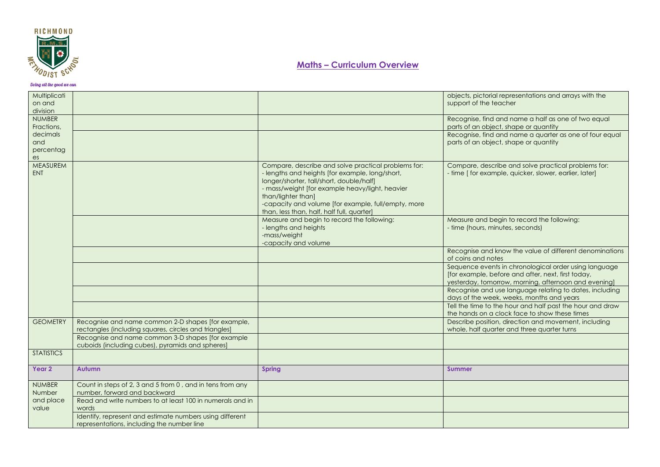

| Multiplicati<br>on and<br>division |                                                                                                             |                                                                                                                                                                                                                                                                                                                                  | objects, pictorial representations and arrays with the<br>support of the teacher                                                                                    |
|------------------------------------|-------------------------------------------------------------------------------------------------------------|----------------------------------------------------------------------------------------------------------------------------------------------------------------------------------------------------------------------------------------------------------------------------------------------------------------------------------|---------------------------------------------------------------------------------------------------------------------------------------------------------------------|
| <b>NUMBER</b><br>Fractions,        |                                                                                                             |                                                                                                                                                                                                                                                                                                                                  | Recognise, find and name a half as one of two equal<br>parts of an object, shape or quantity                                                                        |
| decimals<br>and<br>percentag<br>es |                                                                                                             |                                                                                                                                                                                                                                                                                                                                  | Recognise, find and name a quarter as one of four equal<br>parts of an object, shape or quantity                                                                    |
| MEASUREM<br><b>ENT</b>             |                                                                                                             | Compare, describe and solve practical problems for:<br>- lengths and heights [for example, long/short,<br>longer/shorter, tall/short, double/half]<br>- mass/weight [for example heavy/light, heavier<br>than/lighter than]<br>-capacity and volume [for example, full/empty, more<br>than, less than, half, half full, quarter] | Compare, describe and solve practical problems for:<br>- time [ for example, quicker, slower, earlier, later]                                                       |
|                                    |                                                                                                             | Measure and begin to record the following:<br>- lengths and heights<br>-mass/weight<br>-capacity and volume                                                                                                                                                                                                                      | Measure and begin to record the following:<br>- time (hours, minutes, seconds)                                                                                      |
|                                    |                                                                                                             |                                                                                                                                                                                                                                                                                                                                  | Recognise and know the value of different denominations<br>of coins and notes                                                                                       |
|                                    |                                                                                                             |                                                                                                                                                                                                                                                                                                                                  | Sequence events in chronological order using language<br>[for example, before and after, next, first today,<br>yesterday, tomorrow, morning, afternoon and evening] |
|                                    |                                                                                                             |                                                                                                                                                                                                                                                                                                                                  | Recognise and use language relating to dates, including<br>days of the week, weeks, months and years                                                                |
|                                    |                                                                                                             |                                                                                                                                                                                                                                                                                                                                  | Tell the time to the hour and half past the hour and draw<br>the hands on a clock face to show these times                                                          |
| <b>GEOMETRY</b>                    | Recognise and name common 2-D shapes [for example,<br>rectangles (including squares, circles and triangles) |                                                                                                                                                                                                                                                                                                                                  | Describe position, direction and movement, including<br>whole, half quarter and three quarter turns                                                                 |
|                                    | Recognise and name common 3-D shapes [for example]<br>cuboids (including cubes), pyramids and spheres]      |                                                                                                                                                                                                                                                                                                                                  |                                                                                                                                                                     |
| <b>STATISTICS</b>                  |                                                                                                             |                                                                                                                                                                                                                                                                                                                                  |                                                                                                                                                                     |
| Year 2                             | <b>Autumn</b>                                                                                               | <b>Spring</b>                                                                                                                                                                                                                                                                                                                    | <b>Summer</b>                                                                                                                                                       |
| <b>NUMBER</b><br>Number            | Count in steps of 2, 3 and 5 from 0, and in tens from any<br>number, forward and backward                   |                                                                                                                                                                                                                                                                                                                                  |                                                                                                                                                                     |
| and place<br>value                 | Read and write numbers to at least 100 in numerals and in<br>words                                          |                                                                                                                                                                                                                                                                                                                                  |                                                                                                                                                                     |
|                                    | Identify, represent and estimate numbers using different<br>representations, including the number line      |                                                                                                                                                                                                                                                                                                                                  |                                                                                                                                                                     |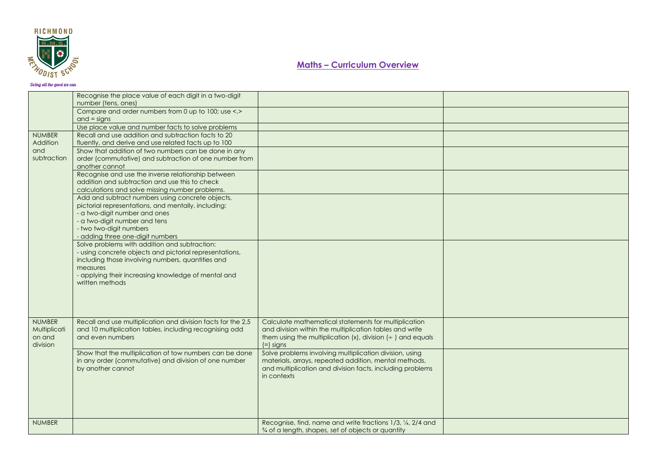

|                           | Recognise the place value of each digit in a two-digit<br>number (tens, ones)                               |                                                                               |  |
|---------------------------|-------------------------------------------------------------------------------------------------------------|-------------------------------------------------------------------------------|--|
|                           | Compare and order numbers from 0 up to 100; use <.>                                                         |                                                                               |  |
|                           | $and = signs$                                                                                               |                                                                               |  |
|                           | Use place value and number facts to solve problems                                                          |                                                                               |  |
| <b>NUMBER</b><br>Addition | Recall and use addition and subtraction facts to 20<br>fluently, and derive and use related facts up to 100 |                                                                               |  |
| and                       | Show that addition of two numbers can be done in any                                                        |                                                                               |  |
| subtraction               | order (commutative) and subtraction of one number from                                                      |                                                                               |  |
|                           | another cannot                                                                                              |                                                                               |  |
|                           | Recognise and use the inverse relationship between                                                          |                                                                               |  |
|                           | addition and subtraction and use this to check                                                              |                                                                               |  |
|                           | calculations and solve missing number problems.                                                             |                                                                               |  |
|                           | Add and subtract numbers using concrete objects,                                                            |                                                                               |  |
|                           | pictorial representations, and mentally, including:                                                         |                                                                               |  |
|                           | - a two-digit number and ones                                                                               |                                                                               |  |
|                           | - a two-digit number and tens                                                                               |                                                                               |  |
|                           | - two two-digit numbers                                                                                     |                                                                               |  |
|                           | - adding three one-digit numbers                                                                            |                                                                               |  |
|                           | Solve problems with addition and subtraction:                                                               |                                                                               |  |
|                           | - using concrete objects and pictorial representations,                                                     |                                                                               |  |
|                           | including those involving numbers, quantities and                                                           |                                                                               |  |
|                           | measures                                                                                                    |                                                                               |  |
|                           | - applying their increasing knowledge of mental and                                                         |                                                                               |  |
|                           | written methods                                                                                             |                                                                               |  |
|                           |                                                                                                             |                                                                               |  |
|                           |                                                                                                             |                                                                               |  |
|                           |                                                                                                             |                                                                               |  |
|                           |                                                                                                             |                                                                               |  |
| <b>NUMBER</b>             | Recall and use multiplication and division facts for the 2,5                                                | Calculate mathematical statements for multiplication                          |  |
| Multiplicati              | and 10 multiplication tables, including recognising odd                                                     | and division within the multiplication tables and write                       |  |
| on and                    | and even numbers                                                                                            | them using the multiplication $(x)$ , division $\left(\div\right)$ and equals |  |
| division                  |                                                                                                             | $(=)$ signs                                                                   |  |
|                           | Show that the multiplication of tow numbers can be done                                                     | Solve problems involving multiplication division, using                       |  |
|                           | in any order (commutative) and division of one number                                                       | materials, arrays, repeated addition, mental methods,                         |  |
|                           | by another cannot                                                                                           | and multiplication and division facts, including problems                     |  |
|                           |                                                                                                             | in contexts                                                                   |  |
|                           |                                                                                                             |                                                                               |  |
|                           |                                                                                                             |                                                                               |  |
|                           |                                                                                                             |                                                                               |  |
|                           |                                                                                                             |                                                                               |  |
|                           |                                                                                                             |                                                                               |  |
| <b>NUMBER</b>             |                                                                                                             | Recognise, find, name and write fractions 1/3, 1/4, 2/4 and                   |  |
|                           |                                                                                                             | % of a length, shapes, set of objects or quantity                             |  |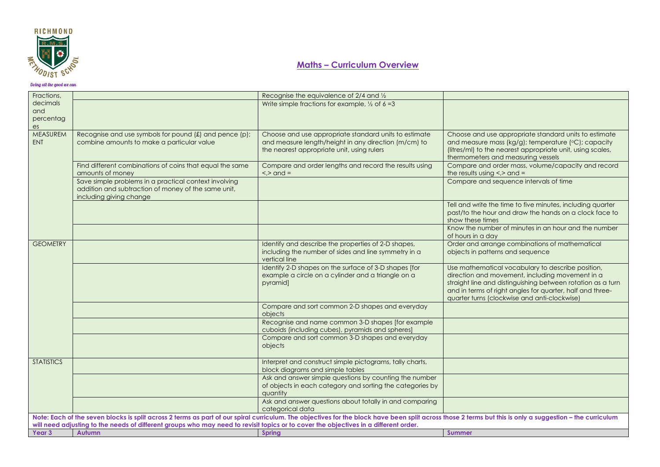

| Fractions,            |                                                                                                                                      | Recognise the equivalence of 2/4 and 1/2                                                                                                                                                                  |                                                                                                              |
|-----------------------|--------------------------------------------------------------------------------------------------------------------------------------|-----------------------------------------------------------------------------------------------------------------------------------------------------------------------------------------------------------|--------------------------------------------------------------------------------------------------------------|
| decimals              |                                                                                                                                      | Write simple fractions for example, $\frac{1}{2}$ of 6 = 3                                                                                                                                                |                                                                                                              |
| and                   |                                                                                                                                      |                                                                                                                                                                                                           |                                                                                                              |
| percentag             |                                                                                                                                      |                                                                                                                                                                                                           |                                                                                                              |
| es<br><b>MEASUREM</b> |                                                                                                                                      |                                                                                                                                                                                                           |                                                                                                              |
| <b>ENT</b>            | Recognise and use symbols for pound $f(x)$ and pence $(p)$ ;<br>combine amounts to make a particular value                           | Choose and use appropriate standard units to estimate<br>and measure length/height in any direction (m/cm) to                                                                                             | Choose and use appropriate standard units to estimate<br>and measure mass (kg/g); temperature (°C); capacity |
|                       |                                                                                                                                      | the nearest appropriate unit, using rulers                                                                                                                                                                | (litres/ml) to the nearest appropriate unit, using scales,                                                   |
|                       |                                                                                                                                      |                                                                                                                                                                                                           | thermometers and measuring vessels                                                                           |
|                       | Find different combinations of coins that equal the same                                                                             | Compare and order lengths and record the results using                                                                                                                                                    | Compare and order mass, volume/capacity and record                                                           |
|                       | amounts of money                                                                                                                     | $\le$ > and =                                                                                                                                                                                             | the results using $\lt$ , $>$ and $=$                                                                        |
|                       | Save simple problems in a practical context involving                                                                                |                                                                                                                                                                                                           | Compare and sequence intervals of time                                                                       |
|                       | addition and subtraction of money of the same unit,                                                                                  |                                                                                                                                                                                                           |                                                                                                              |
|                       | including giving change                                                                                                              |                                                                                                                                                                                                           |                                                                                                              |
|                       |                                                                                                                                      |                                                                                                                                                                                                           | Tell and write the time to five minutes, including quarter                                                   |
|                       |                                                                                                                                      |                                                                                                                                                                                                           | past/to the hour and draw the hands on a clock face to                                                       |
|                       |                                                                                                                                      |                                                                                                                                                                                                           | show these times                                                                                             |
|                       |                                                                                                                                      |                                                                                                                                                                                                           | Know the number of minutes in an hour and the number<br>of hours in a day                                    |
| <b>GEOMETRY</b>       |                                                                                                                                      | Identify and describe the properties of 2-D shapes,                                                                                                                                                       | Order and arrange combinations of mathematical                                                               |
|                       |                                                                                                                                      | including the number of sides and line symmetry in a                                                                                                                                                      | objects in patterns and sequence                                                                             |
|                       |                                                                                                                                      | vertical line                                                                                                                                                                                             |                                                                                                              |
|                       |                                                                                                                                      | Identify 2-D shapes on the surface of 3-D shapes [for                                                                                                                                                     | Use mathematical vocabulary to describe position,                                                            |
|                       |                                                                                                                                      | example a circle on a cylinder and a triangle on a                                                                                                                                                        | direction and movement, including movement in a                                                              |
|                       |                                                                                                                                      | pyramid]                                                                                                                                                                                                  | straight line and distinguishing between rotation as a turn                                                  |
|                       |                                                                                                                                      |                                                                                                                                                                                                           | and in terms of right angles for quarter, half and three-                                                    |
|                       |                                                                                                                                      |                                                                                                                                                                                                           | quarter turns (clockwise and anti-clockwise)                                                                 |
|                       |                                                                                                                                      | Compare and sort common 2-D shapes and everyday                                                                                                                                                           |                                                                                                              |
|                       |                                                                                                                                      | objects                                                                                                                                                                                                   |                                                                                                              |
|                       |                                                                                                                                      | Recognise and name common 3-D shapes [for example<br>cuboids (including cubes), pyramids and spheres]                                                                                                     |                                                                                                              |
|                       |                                                                                                                                      | Compare and sort common 3-D shapes and everyday                                                                                                                                                           |                                                                                                              |
|                       |                                                                                                                                      | objects                                                                                                                                                                                                   |                                                                                                              |
|                       |                                                                                                                                      |                                                                                                                                                                                                           |                                                                                                              |
| <b>STATISTICS</b>     |                                                                                                                                      | Interpret and construct simple pictograms, tally charts,                                                                                                                                                  |                                                                                                              |
|                       |                                                                                                                                      | block diagrams and simple tables                                                                                                                                                                          |                                                                                                              |
|                       |                                                                                                                                      | Ask and answer simple questions by counting the number                                                                                                                                                    |                                                                                                              |
|                       |                                                                                                                                      | of objects in each category and sorting the categories by                                                                                                                                                 |                                                                                                              |
|                       |                                                                                                                                      | quantity                                                                                                                                                                                                  |                                                                                                              |
|                       |                                                                                                                                      | Ask and answer questions about totally in and comparing                                                                                                                                                   |                                                                                                              |
|                       |                                                                                                                                      | categorical data                                                                                                                                                                                          |                                                                                                              |
|                       | will need adjusting to the needs of different groups who may need to revisit topics or to cover the objectives in a different order. | Note: Each of the seven blocks is split across 2 terms as part of our spiral curriculum. The objectives for the block have been split across those 2 terms but this is only a suggestion - the curriculum |                                                                                                              |
| Year 3                | Autumn                                                                                                                               | <b>Spring</b>                                                                                                                                                                                             | <b>Summer</b>                                                                                                |
|                       |                                                                                                                                      |                                                                                                                                                                                                           |                                                                                                              |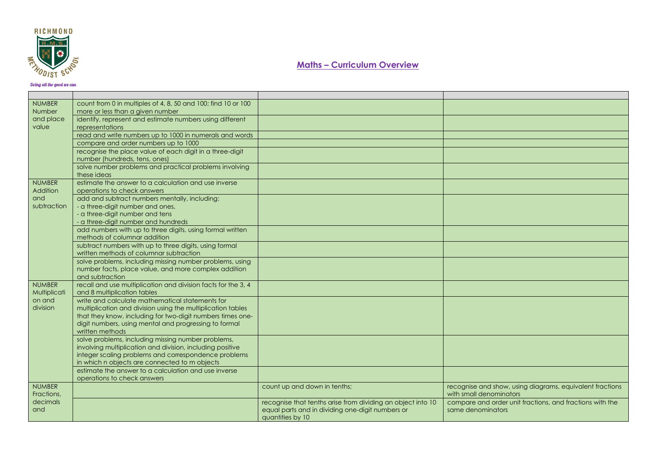

| <b>NUMBER</b><br>Number     | count from 0 in multiples of 4, 8, 50 and 100; find 10 or 100<br>more or less than a given number               |                                                             |                                                                                     |
|-----------------------------|-----------------------------------------------------------------------------------------------------------------|-------------------------------------------------------------|-------------------------------------------------------------------------------------|
| and place<br>value          | identify, represent and estimate numbers using different<br>representations                                     |                                                             |                                                                                     |
|                             | read and write numbers up to 1000 in numerals and words                                                         |                                                             |                                                                                     |
|                             | compare and order numbers up to 1000                                                                            |                                                             |                                                                                     |
|                             | recognise the place value of each digit in a three-digit<br>number (hundreds, tens, ones)                       |                                                             |                                                                                     |
|                             | solve number problems and practical problems involving<br>these ideas                                           |                                                             |                                                                                     |
| <b>NUMBER</b><br>Addition   | estimate the answer to a calculation and use inverse<br>operations to check answers                             |                                                             |                                                                                     |
| and                         | add and subtract numbers mentally, including:                                                                   |                                                             |                                                                                     |
| subtraction                 | - a three-digit number and ones,                                                                                |                                                             |                                                                                     |
|                             | - a three-digit number and tens                                                                                 |                                                             |                                                                                     |
|                             | - a three-digit number and hundreds                                                                             |                                                             |                                                                                     |
|                             | add numbers with up to three digits, using formal written                                                       |                                                             |                                                                                     |
|                             | methods of columnar addition<br>subtract numbers with up to three digits, using formal                          |                                                             |                                                                                     |
|                             | written methods of columnar subtraction                                                                         |                                                             |                                                                                     |
|                             | solve problems, including missing number problems, using                                                        |                                                             |                                                                                     |
|                             | number facts, place value, and more complex addition                                                            |                                                             |                                                                                     |
|                             | and subtraction                                                                                                 |                                                             |                                                                                     |
| <b>NUMBER</b>               | recall and use multiplication and division facts for the 3, 4                                                   |                                                             |                                                                                     |
| <b>Multiplicati</b>         | and 8 multiplication tables                                                                                     |                                                             |                                                                                     |
| on and                      | write and calculate mathematical statements for                                                                 |                                                             |                                                                                     |
| division                    | multiplication and division using the multiplication tables                                                     |                                                             |                                                                                     |
|                             | that they know, including for two-digit numbers times one-                                                      |                                                             |                                                                                     |
|                             | digit numbers, using mental and progressing to formal                                                           |                                                             |                                                                                     |
|                             | written methods                                                                                                 |                                                             |                                                                                     |
|                             | solve problems, including missing number problems,<br>involving multiplication and division, including positive |                                                             |                                                                                     |
|                             | integer scaling problems and correspondence problems                                                            |                                                             |                                                                                     |
|                             | in which n objects are connected to m objects                                                                   |                                                             |                                                                                     |
|                             | estimate the answer to a calculation and use inverse                                                            |                                                             |                                                                                     |
|                             | operations to check answers                                                                                     |                                                             |                                                                                     |
| <b>NUMBER</b><br>Fractions, |                                                                                                                 | count up and down in tenths;                                | recognise and show, using diagrams, equivalent fractions<br>with small denominators |
| decimals                    |                                                                                                                 | recognise that tenths arise from dividing an object into 10 | compare and order unit fractions, and fractions with the                            |
| and                         |                                                                                                                 | equal parts and in dividing one-digit numbers or            | same denominators                                                                   |
|                             |                                                                                                                 | quantities by 10                                            |                                                                                     |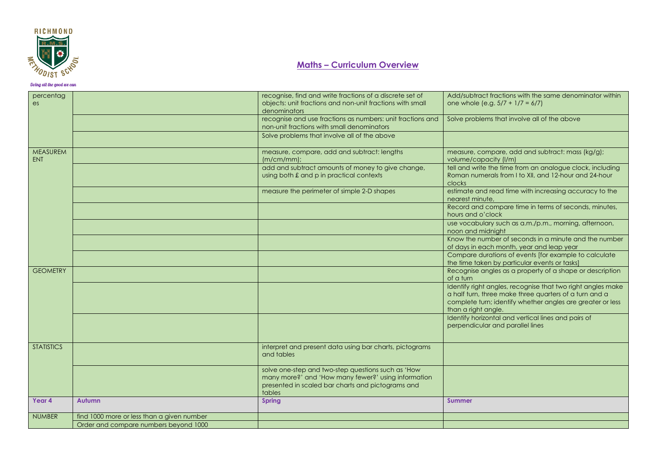

| percentag<br>es               |                                            | recognise, find and write fractions of a discrete set of<br>objects: unit fractions and non-unit fractions with small<br>denominators                                    | Add/subtract fractions with the same denominator within<br>one whole (e.g. $5/7 + 1/7 = 6/7$ )                                                                                                             |
|-------------------------------|--------------------------------------------|--------------------------------------------------------------------------------------------------------------------------------------------------------------------------|------------------------------------------------------------------------------------------------------------------------------------------------------------------------------------------------------------|
|                               |                                            | recognise and use fractions as numbers: unit fractions and<br>non-unit fractions with small denominators                                                                 | Solve problems that involve all of the above                                                                                                                                                               |
|                               |                                            | Solve problems that involve all of the above                                                                                                                             |                                                                                                                                                                                                            |
| <b>MEASUREM</b><br><b>ENT</b> |                                            | measure, compare, add and subtract: lengths<br>$(m/cm/mm)$ ;                                                                                                             | measure, compare, add and subtract: mass (kg/g);<br>volume/capacity (I/m)                                                                                                                                  |
|                               |                                            | add and subtract amounts of money to give change,<br>using both £ and p in practical contexts                                                                            | tell and write the time from an analogue clock, including<br>Roman numerals from I to XII, and 12-hour and 24-hour<br>clocks                                                                               |
|                               |                                            | measure the perimeter of simple 2-D shapes                                                                                                                               | estimate and read time with increasing accuracy to the<br>nearest minute,                                                                                                                                  |
|                               |                                            |                                                                                                                                                                          | Record and compare time in terms of seconds, minutes,<br>hours and o'clock                                                                                                                                 |
|                               |                                            |                                                                                                                                                                          | use vocabulary such as a.m./p.m., morning, afternoon,<br>noon and midnight                                                                                                                                 |
|                               |                                            |                                                                                                                                                                          | Know the number of seconds in a minute and the number<br>of days in each month, year and leap year                                                                                                         |
|                               |                                            |                                                                                                                                                                          | Compare durations of events [for example to calculate<br>the time taken by particular events or tasks]                                                                                                     |
| <b>GEOMETRY</b>               |                                            |                                                                                                                                                                          | Recognise angles as a property of a shape or description<br>of a turn                                                                                                                                      |
|                               |                                            |                                                                                                                                                                          | Identify right angles, recognise that two right angles make<br>a half turn, three make three quarters of a turn and a<br>complete turn; identify whether angles are greater or less<br>than a right angle. |
|                               |                                            |                                                                                                                                                                          | Identify horizontal and vertical lines and pairs of<br>perpendicular and parallel lines                                                                                                                    |
| <b>STATISTICS</b>             |                                            | interpret and present data using bar charts, pictograms<br>and tables                                                                                                    |                                                                                                                                                                                                            |
|                               |                                            | solve one-step and two-step questions such as 'How<br>many more?' and 'How many fewer?' using information<br>presented in scaled bar charts and pictograms and<br>tables |                                                                                                                                                                                                            |
| Year 4                        | <b>Autumn</b>                              | <b>Spring</b>                                                                                                                                                            | <b>Summer</b>                                                                                                                                                                                              |
| <b>NUMBER</b>                 | find 1000 more or less than a given number |                                                                                                                                                                          |                                                                                                                                                                                                            |
|                               | Order and compare numbers beyond 1000      |                                                                                                                                                                          |                                                                                                                                                                                                            |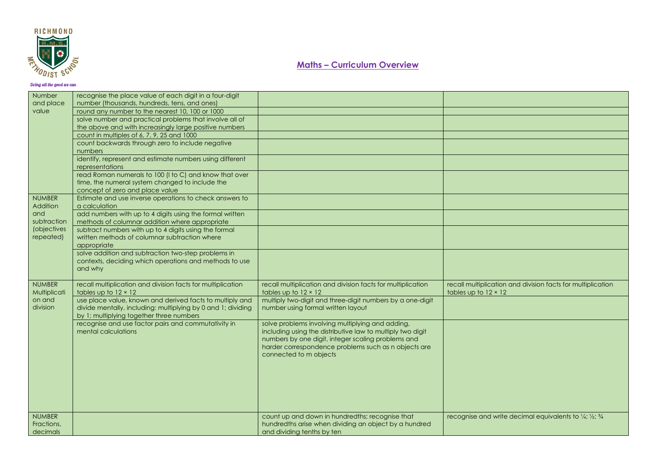

| Number                     | recognise the place value of each digit in a four-digit                                                |                                                             |                                                             |
|----------------------------|--------------------------------------------------------------------------------------------------------|-------------------------------------------------------------|-------------------------------------------------------------|
| and place                  | number (thousands, hundreds, tens, and ones)                                                           |                                                             |                                                             |
| value                      | round any number to the nearest 10, 100 or 1000                                                        |                                                             |                                                             |
|                            | solve number and practical problems that involve all of                                                |                                                             |                                                             |
|                            | the above and with increasingly large positive numbers                                                 |                                                             |                                                             |
|                            | count in multiples of 6, 7, 9, 25 and 1000                                                             |                                                             |                                                             |
|                            | count backwards through zero to include negative                                                       |                                                             |                                                             |
|                            | numbers                                                                                                |                                                             |                                                             |
|                            | identify, represent and estimate numbers using different                                               |                                                             |                                                             |
|                            | representations                                                                                        |                                                             |                                                             |
|                            | read Roman numerals to 100 (I to C) and know that over                                                 |                                                             |                                                             |
|                            | time, the numeral system changed to include the                                                        |                                                             |                                                             |
|                            | concept of zero and place value                                                                        |                                                             |                                                             |
| <b>NUMBER</b>              | Estimate and use inverse operations to check answers to                                                |                                                             |                                                             |
| Addition                   | a calculation                                                                                          |                                                             |                                                             |
| and                        | add numbers with up to 4 digits using the formal written                                               |                                                             |                                                             |
| subtraction<br>(objectives | methods of columnar addition where appropriate                                                         |                                                             |                                                             |
| repeated)                  | subtract numbers with up to 4 digits using the formal<br>written methods of columnar subtraction where |                                                             |                                                             |
|                            | appropriate                                                                                            |                                                             |                                                             |
|                            | solve addition and subtraction two-step problems in                                                    |                                                             |                                                             |
|                            | contexts, deciding which operations and methods to use                                                 |                                                             |                                                             |
|                            | and why                                                                                                |                                                             |                                                             |
|                            |                                                                                                        |                                                             |                                                             |
| <b>NUMBER</b>              | recall multiplication and division facts for multiplication                                            | recall multiplication and division facts for multiplication | recall multiplication and division facts for multiplication |
| Multiplicati               | tables up to $12 \times 12$                                                                            | tables up to $12 \times 12$                                 | tables up to $12 \times 12$                                 |
| on and                     | use place value, known and derived facts to multiply and                                               | multiply two-digit and three-digit numbers by a one-digit   |                                                             |
| division                   | divide mentally, including: multiplying by 0 and 1; dividing                                           | number using formal written layout                          |                                                             |
|                            | by 1; multiplying together three numbers                                                               |                                                             |                                                             |
|                            | recognise and use factor pairs and commutativity in                                                    | solve problems involving multiplying and adding,            |                                                             |
|                            | mental calculations                                                                                    | including using the distributive law to multiply two digit  |                                                             |
|                            |                                                                                                        | numbers by one digit, integer scaling problems and          |                                                             |
|                            |                                                                                                        | harder correspondence problems such as n objects are        |                                                             |
|                            |                                                                                                        | connected to m objects                                      |                                                             |
|                            |                                                                                                        |                                                             |                                                             |
|                            |                                                                                                        |                                                             |                                                             |
|                            |                                                                                                        |                                                             |                                                             |
|                            |                                                                                                        |                                                             |                                                             |
|                            |                                                                                                        |                                                             |                                                             |
|                            |                                                                                                        |                                                             |                                                             |
| <b>NUMBER</b>              |                                                                                                        | count up and down in hundredths; recognise that             | recognise and write decimal equivalents to 1/4; 1/2; 3/4    |
| Fractions,                 |                                                                                                        | hundredths arise when dividing an object by a hundred       |                                                             |
| decimals                   |                                                                                                        | and dividing tenths by ten                                  |                                                             |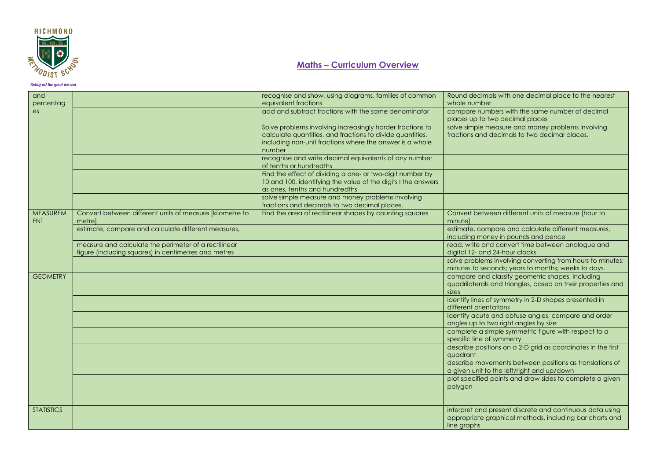

| and<br>percentag  |                                                                                                              | recognise and show, using diagrams, families of common<br>equivalent fractions                                                                                                               | Round decimals with one decimal place to the nearest<br>whole number                                                               |
|-------------------|--------------------------------------------------------------------------------------------------------------|----------------------------------------------------------------------------------------------------------------------------------------------------------------------------------------------|------------------------------------------------------------------------------------------------------------------------------------|
| es                |                                                                                                              | add and subtract fractions with the same denominator                                                                                                                                         | compare numbers with the same number of decimal<br>places up to two decimal places                                                 |
|                   |                                                                                                              | Solve problems involving increasingly harder fractions to<br>calculate quantities, and fractions to divide quantities,<br>including non-unit fractions where the answer is a whole<br>number | solve simple measure and money problems involving<br>fractions and decimals to two decimal places.                                 |
|                   |                                                                                                              | recognise and write decimal equivalents of any number<br>of tenths or hundredths                                                                                                             |                                                                                                                                    |
|                   |                                                                                                              | Find the effect of dividing a one- or two-digit number by<br>10 and 100, identifying the value of the digits I the answers<br>as ones, tenths and hundredths                                 |                                                                                                                                    |
|                   |                                                                                                              | solve simple measure and money problems involving<br>fractions and decimals to two decimal places.                                                                                           |                                                                                                                                    |
| MEASUREM<br>ENT   | Convert between different units of measure [kilometre to<br>metrel                                           | Find the area of rectilinear shapes by counting squares                                                                                                                                      | Convert between different units of measure [hour to<br>minutel                                                                     |
|                   | estimate, compare and calculate different measures,                                                          |                                                                                                                                                                                              | estimate, compare and calculate different measures,<br>including money in pounds and pence                                         |
|                   | measure and calculate the perimeter of a rectilinear<br>figure (including squares) in centimetres and metres |                                                                                                                                                                                              | read, write and convert time between analogue and<br>digital 12- and 24-hour clocks                                                |
|                   |                                                                                                              |                                                                                                                                                                                              | solve problems involving converting from hours to minutes;<br>minutes to seconds; years to months; weeks to days.                  |
| <b>GEOMETRY</b>   |                                                                                                              |                                                                                                                                                                                              | compare and classify geometric shapes, including<br>quadrilaterals and triangles, based on their properties and<br>sizes           |
|                   |                                                                                                              |                                                                                                                                                                                              | identify lines of symmetry in 2-D shapes presented in<br>different orientations                                                    |
|                   |                                                                                                              |                                                                                                                                                                                              | identify acute and obtuse angles; compare and order<br>angles up to two right angles by size                                       |
|                   |                                                                                                              |                                                                                                                                                                                              | complete a simple symmetric figure with respect to a<br>specific line of symmetry                                                  |
|                   |                                                                                                              |                                                                                                                                                                                              | describe positions on a 2-D grid as coordinates in the first<br>auadrant                                                           |
|                   |                                                                                                              |                                                                                                                                                                                              | describe movements between positions as translations of<br>a given unit to the left/right and up/down                              |
|                   |                                                                                                              |                                                                                                                                                                                              | plot specified points and draw sides to complete a given<br>polygon                                                                |
| <b>STATISTICS</b> |                                                                                                              |                                                                                                                                                                                              | interpret and present discrete and continuous data using<br>appropriate graphical methods, including bar charts and<br>line graphs |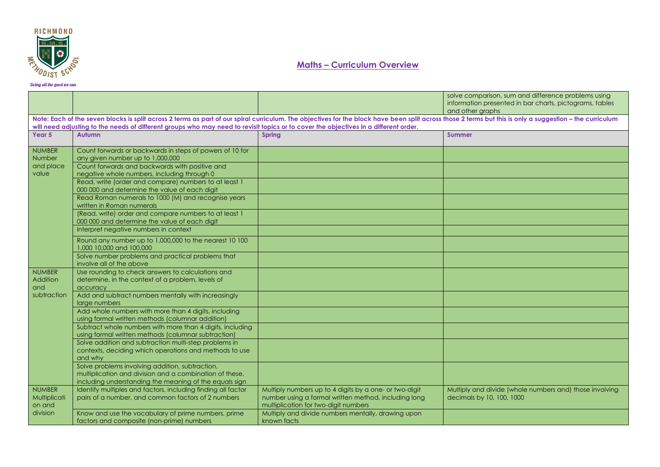

|                                         |                                                                                                                                                                                                                                                                                                                                                   |                                                                                                                                                        | solve comparison, sum and difference problems using<br>information presented in bar charts, pictograms, tables<br>and other graphs |
|-----------------------------------------|---------------------------------------------------------------------------------------------------------------------------------------------------------------------------------------------------------------------------------------------------------------------------------------------------------------------------------------------------|--------------------------------------------------------------------------------------------------------------------------------------------------------|------------------------------------------------------------------------------------------------------------------------------------|
|                                         | Note: Each of the seven blocks is split across 2 terms as part of our spiral curriculum. The objectives for the block have been split across those 2 terms but this is only a suggestion - the curriculum<br>will need adjusting to the needs of different groups who may need to revisit topics or to cover the objectives in a different order. |                                                                                                                                                        |                                                                                                                                    |
| Year 5                                  | <b>Autumn</b>                                                                                                                                                                                                                                                                                                                                     | <b>Spring</b>                                                                                                                                          | <b>Summer</b>                                                                                                                      |
| <b>NUMBER</b><br>Number                 | Count forwards or backwards in steps of powers of 10 for<br>any given number up to 1,000,000                                                                                                                                                                                                                                                      |                                                                                                                                                        |                                                                                                                                    |
| and place<br>value                      | Count forwards and backwards with positive and<br>negative whole numbers, including through 0                                                                                                                                                                                                                                                     |                                                                                                                                                        |                                                                                                                                    |
|                                         | Read, write (order and compare) numbers to at least 1<br>000 000 and determine the value of each digit                                                                                                                                                                                                                                            |                                                                                                                                                        |                                                                                                                                    |
|                                         | Read Roman numerals to 1000 (M) and recognise years<br>written in Roman numerals                                                                                                                                                                                                                                                                  |                                                                                                                                                        |                                                                                                                                    |
|                                         | (Read, write) order and compare numbers to at least 1<br>000 000 and determine the value of each digit                                                                                                                                                                                                                                            |                                                                                                                                                        |                                                                                                                                    |
|                                         | Interpret negative numbers in context                                                                                                                                                                                                                                                                                                             |                                                                                                                                                        |                                                                                                                                    |
|                                         | Round any number up to 1,000,000 to the nearest 10 100<br>1,000 10,000 and 100,000                                                                                                                                                                                                                                                                |                                                                                                                                                        |                                                                                                                                    |
|                                         | Solve number problems and practical problems that<br>involve all of the above                                                                                                                                                                                                                                                                     |                                                                                                                                                        |                                                                                                                                    |
| <b>NUMBER</b><br>Addition<br>and        | Use rounding to check answers to calculations and<br>determine, in the context of a problem, levels of<br>accuracy                                                                                                                                                                                                                                |                                                                                                                                                        |                                                                                                                                    |
| subtraction                             | Add and subtract numbers mentally with increasingly<br>large numbers                                                                                                                                                                                                                                                                              |                                                                                                                                                        |                                                                                                                                    |
|                                         | Add whole numbers with more than 4 digits, including<br>using formal written methods (columnar addition)                                                                                                                                                                                                                                          |                                                                                                                                                        |                                                                                                                                    |
|                                         | Subtract whole numbers with more than 4 digits, including<br>using formal written methods (columnar subtraction)                                                                                                                                                                                                                                  |                                                                                                                                                        |                                                                                                                                    |
|                                         | Solve addition and subtraction multi-step problems in<br>contexts, deciding which operations and methods to use<br>and why                                                                                                                                                                                                                        |                                                                                                                                                        |                                                                                                                                    |
|                                         | Solve problems involving addition, subtraction,<br>multiplication and division and a combination of these,<br>including understanding the meaning of the equals sign                                                                                                                                                                              |                                                                                                                                                        |                                                                                                                                    |
| <b>NUMBER</b><br>Multiplicati<br>on and | Identify multiples and factors, including finding all factor<br>pairs of a number, and common factors of 2 numbers                                                                                                                                                                                                                                | Multiply numbers up to 4 digits by a one- or two-digit<br>number using a formal written method, including long<br>multiplication for two-digit numbers | Multiply and divide (whole numbers and) those involving<br>decimals by 10, 100, 1000                                               |
| division                                | Know and use the vocabulary of prime numbers, prime<br>factors and composite (non-prime) numbers                                                                                                                                                                                                                                                  | Multiply and divide numbers mentally, drawing upon<br>known facts                                                                                      |                                                                                                                                    |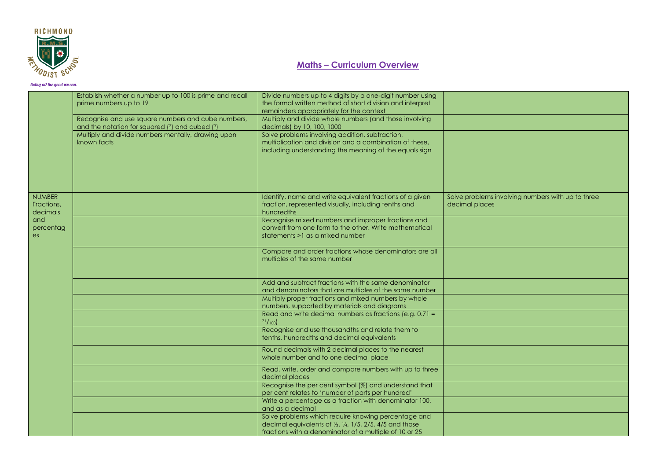

|                                         | Establish whether a number up to 100 is prime and recall<br>prime numbers up to 19                   | Divide numbers up to 4 digits by a one-digit number using<br>the formal written method of short division and interpret<br>remainders appropriately for the context                              |                                                                     |
|-----------------------------------------|------------------------------------------------------------------------------------------------------|-------------------------------------------------------------------------------------------------------------------------------------------------------------------------------------------------|---------------------------------------------------------------------|
|                                         | Recognise and use square numbers and cube numbers,<br>and the notation for squared (2) and cubed (3) | Multiply and divide whole numbers (and those involving<br>decimals) by 10, 100, 1000                                                                                                            |                                                                     |
|                                         | Multiply and divide numbers mentally, drawing upon<br>known facts                                    | Solve problems involving addition, subtraction,<br>multiplication and division and a combination of these,<br>including understanding the meaning of the equals sign                            |                                                                     |
| <b>NUMBER</b><br>Fractions,<br>decimals |                                                                                                      | Identify, name and write equivalent fractions of a given<br>fraction, represented visually, including tenths and<br>hundredths                                                                  | Solve problems involving numbers with up to three<br>decimal places |
| and<br>percentag<br>es                  |                                                                                                      | Recognise mixed numbers and improper fractions and<br>convert from one form to the other. Write mathematical<br>statements >1 as a mixed number                                                 |                                                                     |
|                                         |                                                                                                      | Compare and order fractions whose denominators are all<br>multiples of the same number                                                                                                          |                                                                     |
|                                         |                                                                                                      | Add and subtract fractions with the same denominator<br>and denominators that are multiples of the same number                                                                                  |                                                                     |
|                                         |                                                                                                      | Multiply proper fractions and mixed numbers by whole<br>numbers, supported by materials and diagrams                                                                                            |                                                                     |
|                                         |                                                                                                      | Read and write decimal numbers as fractions (e.g. 0.71 =<br>71/100                                                                                                                              |                                                                     |
|                                         |                                                                                                      | Recognise and use thousandths and relate them to<br>tenths, hundredths and decimal equivalents                                                                                                  |                                                                     |
|                                         |                                                                                                      | Round decimals with 2 decimal places to the nearest<br>whole number and to one decimal place                                                                                                    |                                                                     |
|                                         |                                                                                                      | Read, write, order and compare numbers with up to three<br>decimal places                                                                                                                       |                                                                     |
|                                         |                                                                                                      | Recognise the per cent symbol (%) and understand that<br>per cent relates to 'number of parts per hundred'                                                                                      |                                                                     |
|                                         |                                                                                                      | Write a percentage as a fraction with denominator 100,<br>and as a decimal                                                                                                                      |                                                                     |
|                                         |                                                                                                      | Solve problems which require knowing percentage and<br>decimal equivalents of $\frac{1}{2}$ , $\frac{1}{4}$ , 1/5, 2/5, 4/5 and those<br>fractions with a denominator of a multiple of 10 or 25 |                                                                     |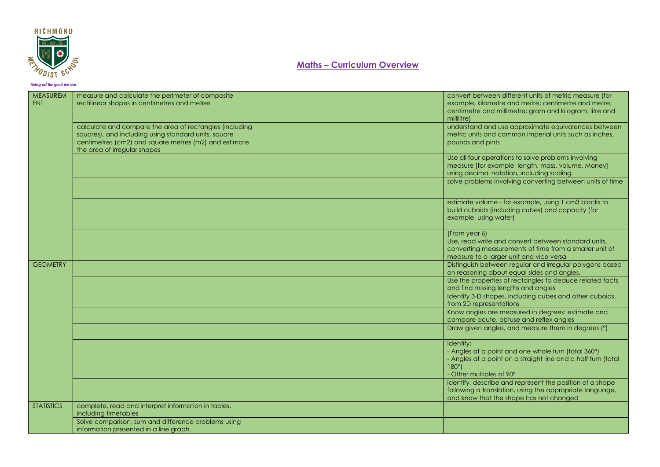

| MEASUREM<br>ENT   | measure and calculate the perimeter of composite<br>rectilinear shapes in centimetres and metres                                                                                                         | convert between different units of metric measure (for<br>example, kilometre and metre; centimetre and metre;<br>centimetre and millimetre; gram and kilogram; litre and<br>millilitre) |
|-------------------|----------------------------------------------------------------------------------------------------------------------------------------------------------------------------------------------------------|-----------------------------------------------------------------------------------------------------------------------------------------------------------------------------------------|
|                   | calculate and compare the area of rectangles (including<br>squares), and including using standard units, square<br>centimetres (cm2) and square metres (m2) and estimate<br>the area of irregular shapes | understand and use approximate equivalences between<br>metric units and common imperial units such as inches,<br>pounds and pints                                                       |
|                   |                                                                                                                                                                                                          | Use all four operations to solve problems involving<br>measure [for example, length, mass, volume, Money]<br>using decimal notation, including scaling.                                 |
|                   |                                                                                                                                                                                                          | solve problems involving converting between units of time                                                                                                                               |
|                   |                                                                                                                                                                                                          | estimate volume - for example, using 1 cm3 blocks to<br>build cuboids (including cubes) and capacity (for<br>example, using water)                                                      |
|                   |                                                                                                                                                                                                          | (From year 6)<br>Use, read write and convert between standard units,<br>converting measurements of time from a smaller unit of<br>measure to a larger unit and vice versa               |
| <b>GEOMETRY</b>   |                                                                                                                                                                                                          | Distinguish between regular and irregular polygons based<br>on reasoning about equal sides and angles.                                                                                  |
|                   |                                                                                                                                                                                                          | Use the properties of rectangles to deduce related facts<br>and find missing lengths and angles                                                                                         |
|                   |                                                                                                                                                                                                          | Identify 3-D shapes, including cubes and other cuboids,<br>from 2D representations                                                                                                      |
|                   |                                                                                                                                                                                                          | Know angles are measured in degrees: estimate and<br>compare acute, obtuse and reflex angles                                                                                            |
|                   |                                                                                                                                                                                                          | Draw given angles, and measure them in degrees (°)                                                                                                                                      |
|                   |                                                                                                                                                                                                          | Identify:<br>- Angles at a point and one whole turn (total 360°)<br>- Angles at a point on a straight line and a half turn (total<br>$180^\circ$<br>- Other multiples of 90°            |
|                   |                                                                                                                                                                                                          | identify, describe and represent the position of a shape<br>following a translation, using the appropriate language,<br>and know that the shape has not changed                         |
| <b>STATISTICS</b> | complete, read and interpret information in tables,<br>including timetables                                                                                                                              |                                                                                                                                                                                         |
|                   | Solve comparison, sum and difference problems using<br>information presented in a line graph.                                                                                                            |                                                                                                                                                                                         |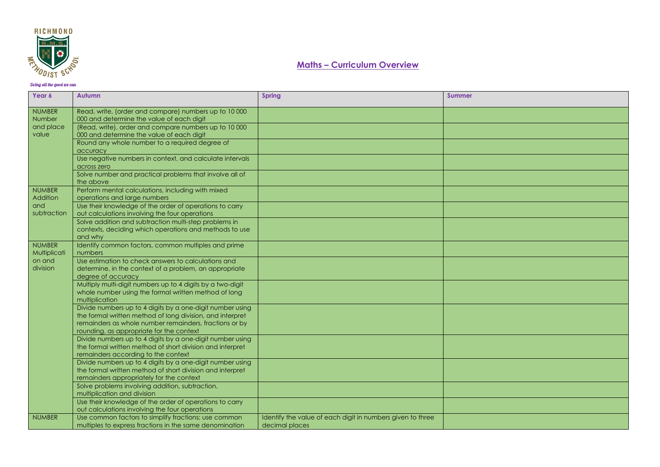

| Year 6        | Autumn                                                                                                | <b>Spring</b>                                              | <b>Summer</b> |
|---------------|-------------------------------------------------------------------------------------------------------|------------------------------------------------------------|---------------|
| <b>NUMBER</b> | Read, write, (order and compare) numbers up to 10 000                                                 |                                                            |               |
| <b>Number</b> | 000 and determine the value of each diait                                                             |                                                            |               |
| and place     | (Read, write), order and compare numbers up to 10 000                                                 |                                                            |               |
| value         | 000 and determine the value of each digit                                                             |                                                            |               |
|               | Round any whole number to a required degree of                                                        |                                                            |               |
|               | accuracy<br>Use negative numbers in context, and calculate intervals                                  |                                                            |               |
|               | across zero                                                                                           |                                                            |               |
|               | Solve number and practical problems that involve all of                                               |                                                            |               |
|               | the above                                                                                             |                                                            |               |
| <b>NUMBER</b> | Perform mental calculations, including with mixed                                                     |                                                            |               |
| Addition      | operations and large numbers                                                                          |                                                            |               |
| and           | Use their knowledge of the order of operations to carry                                               |                                                            |               |
| subtraction   | out calculations involving the four operations                                                        |                                                            |               |
|               | Solve addition and subtraction multi-step problems in                                                 |                                                            |               |
|               | contexts, deciding which operations and methods to use                                                |                                                            |               |
| <b>NUMBER</b> | and why<br>Identify common factors, common multiples and prime                                        |                                                            |               |
| Multiplicati  | numbers                                                                                               |                                                            |               |
| on and        | Use estimation to check answers to calculations and                                                   |                                                            |               |
| division      | determine, in the context of a problem, an appropriate                                                |                                                            |               |
|               | degree of accuracy                                                                                    |                                                            |               |
|               | Multiply multi-digit numbers up to 4 digits by a two-digit                                            |                                                            |               |
|               | whole number using the formal written method of long                                                  |                                                            |               |
|               | multiplication                                                                                        |                                                            |               |
|               | Divide numbers up to 4 digits by a one-digit number using                                             |                                                            |               |
|               | the formal written method of long division, and interpret                                             |                                                            |               |
|               | remainders as whole number remainders, fractions or by                                                |                                                            |               |
|               | rounding, as appropriate for the context<br>Divide numbers up to 4 digits by a one-digit number using |                                                            |               |
|               | the formal written method of short division and interpret                                             |                                                            |               |
|               | remainders according to the context                                                                   |                                                            |               |
|               | Divide numbers up to 4 digits by a one-digit number using                                             |                                                            |               |
|               | the formal written method of short division and interpret                                             |                                                            |               |
|               | remainders appropriately for the context                                                              |                                                            |               |
|               | Solve problems involving addition, subtraction,                                                       |                                                            |               |
|               | multiplication and division                                                                           |                                                            |               |
|               | Use their knowledge of the order of operations to carry                                               |                                                            |               |
|               | out calculations involving the four operations                                                        |                                                            |               |
| <b>NUMBER</b> | Use common factors to simplify fractions; use common                                                  | Identify the value of each digit in numbers given to three |               |
|               | multiples to express fractions in the same denomination                                               | decimal places                                             |               |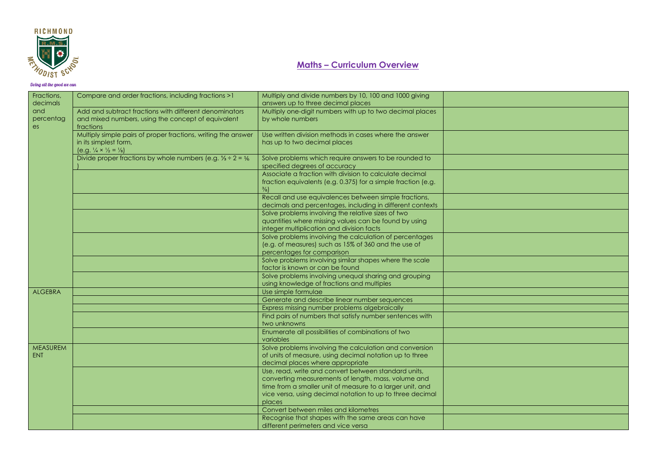

| Fractions,      | Compare and order fractions, including fractions >1                               | Multiply and divide numbers by 10, 100 and 1000 giving        |  |
|-----------------|-----------------------------------------------------------------------------------|---------------------------------------------------------------|--|
| decimals        |                                                                                   | answers up to three decimal places                            |  |
| and             | Add and subtract fractions with different denominators                            | Multiply one-digit numbers with up to two decimal places      |  |
| percentag       | and mixed numbers, using the concept of equivalent                                | by whole numbers                                              |  |
| es              | fractions                                                                         |                                                               |  |
|                 | Multiply simple pairs of proper fractions, writing the answer                     | Use written division methods in cases where the answer        |  |
|                 | in its simplest form,                                                             | has up to two decimal places                                  |  |
|                 | $(e.g. \frac{1}{4} \times \frac{1}{2} = \frac{1}{8})$                             |                                                               |  |
|                 | Divide proper fractions by whole numbers (e.g. $\frac{1}{3} \div 2 = \frac{1}{6}$ | Solve problems which require answers to be rounded to         |  |
|                 |                                                                                   | specified degrees of accuracy                                 |  |
|                 |                                                                                   | Associate a fraction with division to calculate decimal       |  |
|                 |                                                                                   | fraction equivalents (e.g. 0.375) for a simple fraction (e.g. |  |
|                 |                                                                                   | $\frac{3}{8}$                                                 |  |
|                 |                                                                                   | Recall and use equivalences between simple fractions,         |  |
|                 |                                                                                   | decimals and percentages, including in different contexts     |  |
|                 |                                                                                   | Solve problems involving the relative sizes of two            |  |
|                 |                                                                                   | quantities where missing values can be found by using         |  |
|                 |                                                                                   | integer multiplication and division facts                     |  |
|                 |                                                                                   | Solve problems involving the calculation of percentages       |  |
|                 |                                                                                   | (e.g. of measures) such as 15% of 360 and the use of          |  |
|                 |                                                                                   | percentages for comparison                                    |  |
|                 |                                                                                   | Solve problems involving similar shapes where the scale       |  |
|                 |                                                                                   | factor is known or can be found                               |  |
|                 |                                                                                   | Solve problems involving unequal sharing and grouping         |  |
|                 |                                                                                   | using knowledge of fractions and multiples                    |  |
| <b>ALGEBRA</b>  |                                                                                   | Use simple formulae                                           |  |
|                 |                                                                                   | Generate and describe linear number sequences                 |  |
|                 |                                                                                   | Express missing number problems algebraically                 |  |
|                 |                                                                                   | Find pairs of numbers that satisfy number sentences with      |  |
|                 |                                                                                   | two unknowns                                                  |  |
|                 |                                                                                   | Enumerate all possibilities of combinations of two            |  |
|                 |                                                                                   | variables                                                     |  |
| <b>MEASUREM</b> |                                                                                   | Solve problems involving the calculation and conversion       |  |
| <b>ENT</b>      |                                                                                   | of units of measure, using decimal notation up to three       |  |
|                 |                                                                                   | decimal places where appropriate                              |  |
|                 |                                                                                   | Use, read, write and convert between standard units,          |  |
|                 |                                                                                   | converting measurements of length, mass, volume and           |  |
|                 |                                                                                   | time from a smaller unit of measure to a larger unit, and     |  |
|                 |                                                                                   | vice versa, using decimal notation to up to three decimal     |  |
|                 |                                                                                   | places                                                        |  |
|                 |                                                                                   | Convert between miles and kilometres                          |  |
|                 |                                                                                   | Recognise that shapes with the same areas can have            |  |
|                 |                                                                                   | different perimeters and vice versa                           |  |